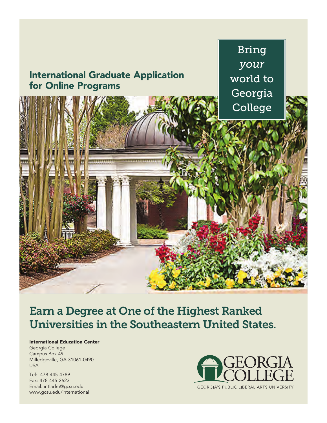

# Earn a Degree at One of the Highest Ranked Universities in the Southeastern United States.

#### **International Education Center**

Georgia College Campus Box 49 Milledgeville, GA 31061-0490 USA

Tel: 478-445-4789 Fax: 478-445-2623 Email: intladm@gcsu.edu www.gcsu.edu/international

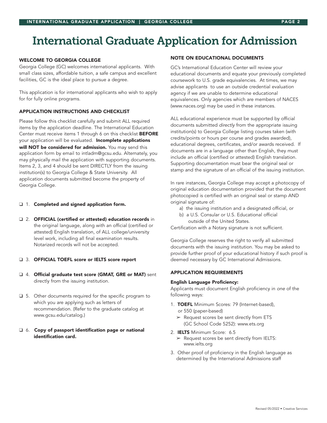# International Graduate Application for Admission

#### **WELCOME TO GEORGIA COLLEGE**

Georgia College (GC) welcomes international applicants. With small class sizes, affordable tuition, a safe campus and excellent facilities, GC is the ideal place to pursue a degree.

This application is for international applicants who wish to apply for for fully online programs.

#### **APPLICATION INSTRUCTIONS AND CHECKLIST**

Please follow this checklist carefully and submit ALL required items by the application deadline. The International Education Center must receive items 1 through 6 on this checklist BEFORE your application will be evaluated. Incomplete applications will NOT be considered for admission. You may send this application form by email to intladm@gcsu.edu. Alternately, you may physically mail the application with supporting documents. Items 2, 3, and 4 should be sent DIRECTLY from the issuing institution(s) to Georgia College & State University. All application documents submitted become the property of Georgia College.

#### ❑ 1. Completed and signed application form.

❑ 2. OFFICIAL (certified or attested) education records in the original language, along with an official (certified or attested) English translation, of ALL college/university level work, including all final examination results. Notarized records will not be accepted.

#### ❑ 3. OFFICIAL TOEFL score or IELTS score report

- ❑ 4. Official graduate test score (GMAT, GRE or MAT) sent directly from the issuing institution.
- ❑ 5. Other documents required for the specific program to which you are applying such as letters of recommendation. (Refer to the graduate catalog at www.gcsu.edu/catalog.)

#### ❑ 6. Copy of passport identification page or national identification card.

#### **NOTE ON EDUCATIONAL DOCUMENTS**

GC's International Education Center will review your educational documents and equate your previously completed coursework to U.S. grade equivalencies. At times, we may advise applicants to use an outside credential evaluation agency if we are unable to determine educational equivalences. Only agencies which are members of NACES (www.naces.org) may be used in these instances.

ALL educational experience must be supported by official documents submitted directly from the appropriate issuing institution(s) to Georgia College listing courses taken (with credits/points or hours per course and grades awarded), educational degrees, certificates, and/or awards received. If documents are in a language other than English, they must include an official (certified or attested) English translation. Supporting documentation must bear the original seal or stamp and the signature of an official of the issuing institution.

In rare instances, Georgia College may accept a photocopy of original education documentation provided that the document photocopied is certified with an original seal or stamp AND original signature of:

- a) the issuing institution and a designated official, or
- b) a U.S. Consular or U.S. Educational official outside of the United States.

Certification with a Notary signature is not sufficient.

Georgia College reserves the right to verify all submitted documents with the issuing institution. You may be asked to provide further proof of your educational history if such proof is deemed necessary by GC International Admissions.

#### **APPLICATION REQUIREMENTS**

#### English Language Proficiency:

Applicants must document English proficiency in one of the following ways:

- 1. TOEFL Minimum Scores: 79 (Internet-based), or 550 (paper-based)
	- ➢ Request scores be sent directly from ETS (GC School Code 5252): www.ets.org
- 2. IELTS Minimum Score: 6.5
	- ➢ Request scores be sent directly from IELTS: www.ielts.org
- 3. Other proof of proficiency in the English language as determined by the International Admissions staff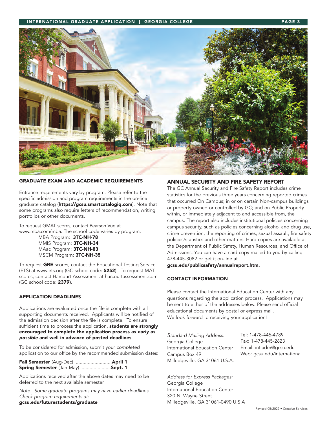#### **INTERNATIONAL GRADUATE APPLICATION | GEORGIA COLLEGE**



#### **GRADUATE EXAM AND ACADEMIC REQUIREMENTS**

Entrance requirements vary by program. Please refer to the specific admission and program requirements in the on-line graduate catalog (https://gcsu.smartcatalogiq.com). Note that some programs also require letters of recommendation, writing portfolios or other documents.

To request GMAT scores, contact Pearson Vue at www.mba.com/mba. The school code varies by program:

MBA Program: 3TC-NH-78 MMIS Program: 3TC-NH-34 MAac Program: 3TC-NH-83 MSCM Program: 3TC-NH-35

To request GRE scores, contact the Educational Testing Service (ETS) at www.ets.org (GC school code: 5252). To request MAT scores, contact Harcourt Assessment at harcourtassessment.com (GC school code: 2379).

#### **APPLICATION DEADLINES**

Applications are evaluated once the file is complete with all supporting documents received. Applicants will be notified of the admission decision after the file is complete. To ensure sufficient time to process the application, students are strongly encouraged to complete the application process as early as possible and well in advance of posted deadlines.

To be considered for admission, submit your completed application to our office by the recommended submission dates:

| <b>Fall Semester</b> (Aug-Dec) <b>April 1</b> |  |
|-----------------------------------------------|--|
| <b>Spring Semester</b> (Jan-May) Sept. 1      |  |

Applications received after the above dates may need to be deferred to the next available semester.

Note: Some graduate programs may have earlier deadlines. Check program requirements at: gcsu.edu/futurestudents/graduate

#### **ANNUAL SECURITY AND FIRE SAFETY REPORT**

The GC Annual Security and Fire Safety Report includes crime statistics for the previous three years concerning reported crimes that occurred On Campus; in or on certain Non-campus buildings or property owned or controlled by GC; and on Public Property within, or immediately adjacent to and accessible from, the campus. The report also includes institutional policies concerning campus security, such as policies concerning alcohol and drug use, crime prevention, the reporting of crimes, sexual assault, fire safety policies/statistics and other matters. Hard copies are available at the Department of Public Safety, Human Resources, and Office of Admissions. You can have a card copy mailed to you by calling 478-445-3082 or get it on-line at

gcsu.edu/publicsafety/annualreport.htm.

#### **CONTACT INFORMATION**

Please contact the International Education Center with any questions regarding the application process. Applications may be sent to either of the addresses below. Please send official educational documents by postal or express mail. We look forward to receiving your application!

Standard Mailing Address: Georgia College International Education Center Campus Box 49 Milledgeville, GA 31061 U.S.A.

Address for Express Packages: Georgia College International Education Center 320 N. Wayne Street Milledgeville, GA 31061-0490 U.S.A

Tel: 1-478-445-4789 Fax: 1-478-445-2623 Email: intladm@gcsu.edu Web: gcsu.edu/international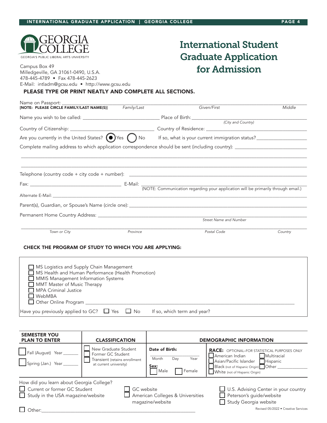

## International Student Graduate Application  $\frac{1}{\text{Complexity}}$   $\frac{\text{Complexity}}{\text{Complexity}}$   $\frac{1}{\text{Complexity}}$   $\frac{1}{\text{Complexity}}$   $\frac{1}{\text{Complexity}}$   $\frac{1}{\text{Complexity}}$

| Milledgeville, GA 31061-0490, U.S.A.           |  |
|------------------------------------------------|--|
| 478-445-4789 • Fax 478-445-2623                |  |
| E-Mail: intladm@gcsu.edu • http://www.gcsu.edu |  |

### **PLEASE TYPE OR PRINT NEATLY AND COMPLETE ALL SECTIONS.**

|                                                       |                                                                                                                                                          | Given/First            | Middle  |  |
|-------------------------------------------------------|----------------------------------------------------------------------------------------------------------------------------------------------------------|------------------------|---------|--|
|                                                       |                                                                                                                                                          |                        |         |  |
|                                                       |                                                                                                                                                          |                        |         |  |
|                                                       |                                                                                                                                                          |                        |         |  |
|                                                       | Are you currently in the United States? $\bigodot$ Yes $\bigodot$ No<br>If so, what is your current immigration status? ________________________________ |                        |         |  |
|                                                       |                                                                                                                                                          |                        |         |  |
|                                                       |                                                                                                                                                          |                        |         |  |
|                                                       |                                                                                                                                                          |                        |         |  |
|                                                       |                                                                                                                                                          |                        |         |  |
|                                                       |                                                                                                                                                          |                        |         |  |
|                                                       |                                                                                                                                                          |                        |         |  |
|                                                       |                                                                                                                                                          |                        |         |  |
|                                                       |                                                                                                                                                          |                        |         |  |
|                                                       |                                                                                                                                                          |                        |         |  |
|                                                       |                                                                                                                                                          |                        |         |  |
|                                                       |                                                                                                                                                          | Street Name and Number |         |  |
| Town or City                                          | Province                                                                                                                                                 | Postal Code            | Country |  |
|                                                       |                                                                                                                                                          |                        |         |  |
| CHECK THE PROGRAM OF STUDY TO WHICH YOU ARE APPLYING: |                                                                                                                                                          |                        |         |  |
|                                                       |                                                                                                                                                          |                        |         |  |
|                                                       |                                                                                                                                                          |                        |         |  |
| MS Logistics and Supply Chain Management              |                                                                                                                                                          |                        |         |  |
| MS Health and Human Performance (Health Promotion)    |                                                                                                                                                          |                        |         |  |
| $\Box$ MMIS Management Information Systems            |                                                                                                                                                          |                        |         |  |

| MMIS Management Information Systems |
|-------------------------------------|
| MMT Master of Music Therapy         |

| $\Box$ MPA Criminal Justice |  |
|-----------------------------|--|
| $\Box$ $\cdots$             |  |

❑ WebMBA □ Other Online Program

Have you previously applied to GC?  $\Box$  Yes  $\Box$  No If so, which term and year?

| <b>SEMESTER YOU</b><br><b>PLAN TO ENTER</b>                                                                                                            | <b>CLASSIFICATION</b>                                                                                |                                                                  | <b>DEMOGRAPHIC INFORMATION</b>                                                                                                                                                                            |
|--------------------------------------------------------------------------------------------------------------------------------------------------------|------------------------------------------------------------------------------------------------------|------------------------------------------------------------------|-----------------------------------------------------------------------------------------------------------------------------------------------------------------------------------------------------------|
| Fall (August) Year<br>Spring (Jan.) Year_                                                                                                              | New Graduate Student<br>Former GC Student<br>Transient (retains enrollment<br>at current university) | Date of Birth:<br>Month<br>Year<br>Day<br>Sex:<br>Male<br>Female | <b>RACE:</b> OPTIONAL-FOR STATISTICAL PURPOSES ONLY<br>Multiracial<br>$\Box$ American Indian<br>Asian/Pacific Islander Hispanic<br>Black (not of Hispanic Origin) Other<br>White (not of Hispanic Origin) |
| How did you learn about Georgia College?<br>Current or former GC Student<br>GC website<br>$\Box$ Study in the USA magazine/website<br>$\bigcirc$ ther: |                                                                                                      | American Colleges & Universities<br>magazine/website             | U.S. Advising Center in your country<br>Peterson's guide/website<br>Study Georgia website<br>Revised 05/2022 • Creative Services                                                                          |